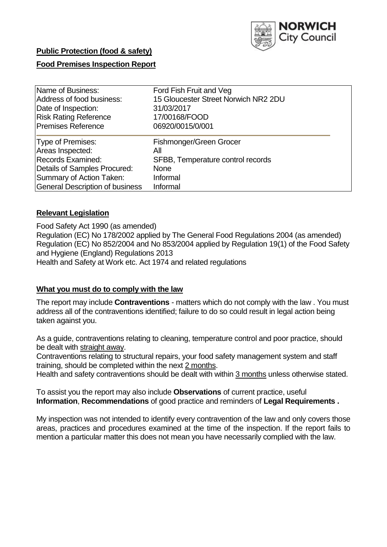

# **Food Premises Inspection Report**

| Name of Business:               | Ford Fish Fruit and Veg              |
|---------------------------------|--------------------------------------|
| Address of food business:       | 15 Gloucester Street Norwich NR2 2DU |
| Date of Inspection:             | 31/03/2017                           |
| <b>Risk Rating Reference</b>    | 17/00168/FOOD                        |
| <b>Premises Reference</b>       | 06920/0015/0/001                     |
| Type of Premises:               | Fishmonger/Green Grocer              |
| Areas Inspected:                | All                                  |
| <b>Records Examined:</b>        | SFBB, Temperature control records    |
| Details of Samples Procured:    | <b>None</b>                          |
| Summary of Action Taken:        | Informal                             |
| General Description of business | Informal                             |

## **Relevant Legislation**

Food Safety Act 1990 (as amended) Regulation (EC) No 178/2002 applied by The General Food Regulations 2004 (as amended) Regulation (EC) No 852/2004 and No 853/2004 applied by Regulation 19(1) of the Food Safety and Hygiene (England) Regulations 2013 Health and Safety at Work etc. Act 1974 and related regulations

## **What you must do to comply with the law**

The report may include **Contraventions** - matters which do not comply with the law . You must address all of the contraventions identified; failure to do so could result in legal action being taken against you.

As a guide, contraventions relating to cleaning, temperature control and poor practice, should be dealt with straight away.

Contraventions relating to structural repairs, your food safety management system and staff training, should be completed within the next 2 months.

Health and safety contraventions should be dealt with within 3 months unless otherwise stated.

To assist you the report may also include **Observations** of current practice, useful **Information**, **Recommendations** of good practice and reminders of **Legal Requirements .**

My inspection was not intended to identify every contravention of the law and only covers those areas, practices and procedures examined at the time of the inspection. If the report fails to mention a particular matter this does not mean you have necessarily complied with the law.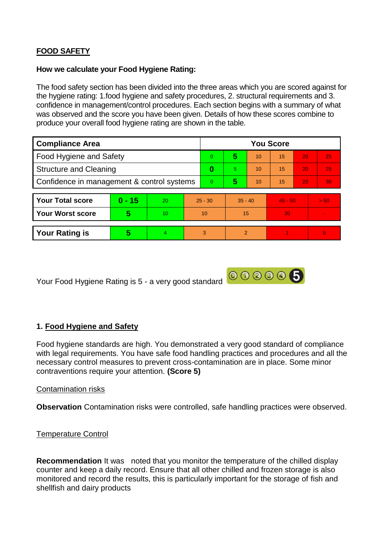# **FOOD SAFETY**

### **How we calculate your Food Hygiene Rating:**

The food safety section has been divided into the three areas which you are scored against for the hygiene rating: 1.food hygiene and safety procedures, 2. structural requirements and 3. confidence in management/control procedures. Each section begins with a summary of what was observed and the score you have been given. Details of how these scores combine to produce your overall food hygiene rating are shown in the table.

| <b>Compliance Area</b>                     |          |    |    | <b>You Score</b> |                |    |           |    |                 |  |  |
|--------------------------------------------|----------|----|----|------------------|----------------|----|-----------|----|-----------------|--|--|
| Food Hygiene and Safety                    |          |    |    | $\Omega$         | 5              | 10 | 15        | 20 | 25              |  |  |
| <b>Structure and Cleaning</b>              |          |    |    | 0                | 5.             | 10 | 15        | 20 | 25              |  |  |
| Confidence in management & control systems |          |    |    | $\overline{0}$   | 5              | 10 | 15        | 20 | 30 <sub>1</sub> |  |  |
|                                            |          |    |    |                  |                |    |           |    |                 |  |  |
| <b>Your Total score</b>                    | $0 - 15$ | 20 |    | $25 - 30$        | $35 - 40$      |    | $45 - 50$ |    | > 50            |  |  |
| <b>Your Worst score</b>                    | 5        | 10 | 10 |                  | 15             |    | 20        |    |                 |  |  |
|                                            |          |    |    |                  |                |    |           |    |                 |  |  |
| <b>Your Rating is</b>                      | 5        | 4  |    | 3                | $\mathfrak{p}$ |    |           |    | $\Omega$        |  |  |

Your Food Hygiene Rating is 5 - a very good standard 00000000

## **1. Food Hygiene and Safety**

Food hygiene standards are high. You demonstrated a very good standard of compliance with legal requirements. You have safe food handling practices and procedures and all the necessary control measures to prevent cross-contamination are in place. Some minor contraventions require your attention. **(Score 5)**

#### Contamination risks

**Observation** Contamination risks were controlled, safe handling practices were observed.

#### Temperature Control

**Recommendation** It was noted that you monitor the temperature of the chilled display counter and keep a daily record. Ensure that all other chilled and frozen storage is also monitored and record the results, this is particularly important for the storage of fish and shellfish and dairy products